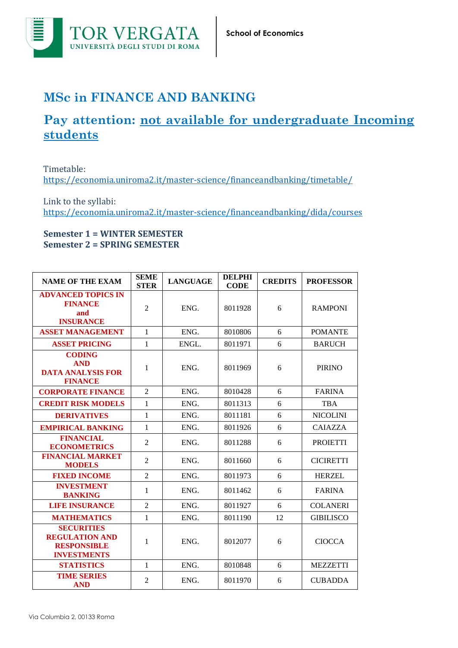

## **MSc in FINANCE AND BANKING**

## **Pay attention: not available for undergraduate Incoming students**

Timetable: <https://economia.uniroma2.it/master-science/financeandbanking/timetable/>

Link to the syllabi: <https://economia.uniroma2.it/master-science/financeandbanking/dida/courses>

## **Semester 1 = WINTER SEMESTER Semester 2 = SPRING SEMESTER**

| <b>NAME OF THE EXAM</b>                                                                | <b>SEME</b><br><b>STER</b> | <b>LANGUAGE</b> | <b>DELPHI</b><br><b>CODE</b> | <b>CREDITS</b> | <b>PROFESSOR</b> |
|----------------------------------------------------------------------------------------|----------------------------|-----------------|------------------------------|----------------|------------------|
| <b>ADVANCED TOPICS IN</b><br><b>FINANCE</b><br>and<br><b>INSURANCE</b>                 | $\overline{2}$             | ENG.            | 8011928                      | 6              | <b>RAMPONI</b>   |
| <b>ASSET MANAGEMENT</b>                                                                | $\mathbf{1}$               | ENG.            | 8010806                      | 6              | <b>POMANTE</b>   |
| <b>ASSET PRICING</b>                                                                   | 1                          | ENGL.           | 8011971                      | 6              | <b>BARUCH</b>    |
| <b>CODING</b><br><b>AND</b><br><b>DATA ANALYSIS FOR</b><br><b>FINANCE</b>              | 1                          | ENG.            | 8011969                      | 6              | <b>PIRINO</b>    |
| <b>CORPORATE FINANCE</b>                                                               | $\overline{2}$             | ENG.            | 8010428                      | 6              | <b>FARINA</b>    |
| <b>CREDIT RISK MODELS</b>                                                              | $\mathbf{1}$               | ENG.            | 8011313                      | 6              | <b>TBA</b>       |
| <b>DERIVATIVES</b>                                                                     | $\mathbf{1}$               | ENG.            | 8011181                      | 6              | <b>NICOLINI</b>  |
| <b>EMPIRICAL BANKING</b>                                                               | 1                          | ENG.            | 8011926                      | 6              | <b>CAIAZZA</b>   |
| <b>FINANCIAL</b><br><b>ECONOMETRICS</b>                                                | $\overline{2}$             | ENG.            | 8011288                      | 6              | <b>PROIETTI</b>  |
| <b>FINANCIAL MARKET</b><br><b>MODELS</b>                                               | $\overline{2}$             | ENG.            | 8011660                      | 6              | <b>CICIRETTI</b> |
| <b>FIXED INCOME</b>                                                                    | $\overline{2}$             | ENG.            | 8011973                      | 6              | <b>HERZEL</b>    |
| <b>INVESTMENT</b><br><b>BANKING</b>                                                    | $\mathbf{1}$               | ENG.            | 8011462                      | 6              | <b>FARINA</b>    |
| <b>LIFE INSURANCE</b>                                                                  | $\overline{2}$             | ENG.            | 8011927                      | 6              | <b>COLANERI</b>  |
| <b>MATHEMATICS</b>                                                                     | $\mathbf{1}$               | ENG.            | 8011190                      | 12             | <b>GIBILISCO</b> |
| <b>SECURITIES</b><br><b>REGULATION AND</b><br><b>RESPONSIBLE</b><br><b>INVESTMENTS</b> | 1                          | ENG.            | 8012077                      | 6              | <b>CIOCCA</b>    |
| <b>STATISTICS</b>                                                                      | $\mathbf{1}$               | ENG.            | 8010848                      | 6              | <b>MEZZETTI</b>  |
| <b>TIME SERIES</b><br><b>AND</b>                                                       | $\overline{2}$             | ENG.            | 8011970                      | 6              | <b>CUBADDA</b>   |